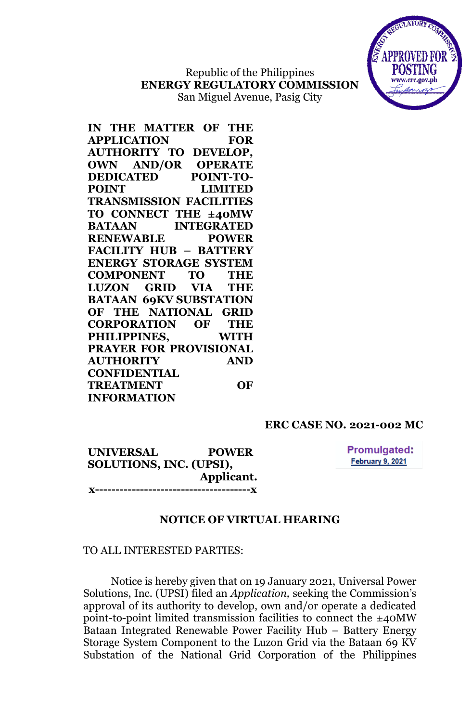Republic of the Philippines **ENERGY REGULATORY COMMISSION** San Miguel Avenue, Pasig City



## **ERC CASE NO. 2021-002 MC**

**UNIVERSAL POWER SOLUTIONS, INC. (UPSI), Applicant. x--------------------------------------x** **Promulgated:** February 9, 2021

### **NOTICE OF VIRTUAL HEARING**

### TO ALL INTERESTED PARTIES:

Notice is hereby given that on 19 January 2021, Universal Power Solutions, Inc. (UPSI) filed an *Application,* seeking the Commission's approval of its authority to develop, own and/or operate a dedicated point-to-point limited transmission facilities to connect the ±40MW Bataan Integrated Renewable Power Facility Hub – Battery Energy Storage System Component to the Luzon Grid via the Bataan 69 KV Substation of the National Grid Corporation of the Philippines

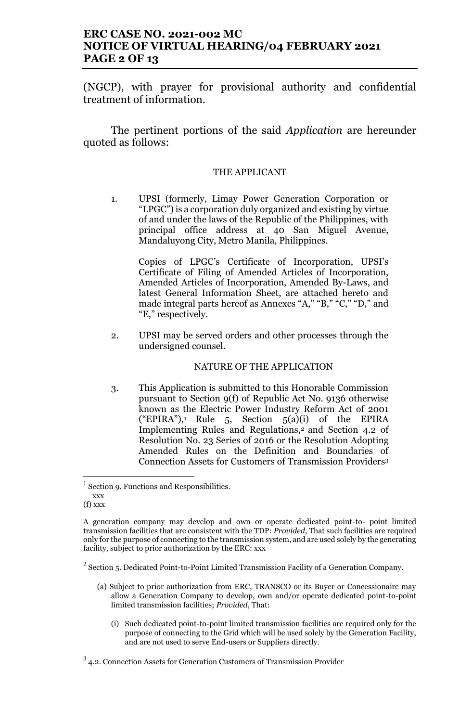# **ERC CASE NO. 2021-002 MC NOTICE OF VIRTUAL HEARING/04 FEBRUARY 2021 PAGE 2 OF 13**

(NGCP), with prayer for provisional authority and confidential treatment of information.

The pertinent portions of the said *Application* are hereunder quoted as follows:

### THE APPLICANT

1. UPSI (formerly, Limay Power Generation Corporation or "LPGC") is a corporation duly organized and existing by virtue of and under the laws of the Republic of the Philippines, with principal office address at 40 San Miguel Avenue, Mandaluyong City, Metro Manila, Philippines.

Copies of LPGC's Certificate of Incorporation, UPSI's Certificate of Filing of Amended Articles of Incorporation, Amended Articles of Incorporation, Amended By-Laws, and latest General Information Sheet, are attached hereto and made integral parts hereof as Annexes "A," "B," "C," "D," and "E," respectively.

2. UPSI may be served orders and other processes through the undersigned counsel.

#### NATURE OF THE APPLICATION

3. This Application is submitted to this Honorable Commission pursuant to Section 9(f) of Republic Act No. 9136 otherwise known as the Electric Power Industry Reform Act of 2001 ("EPIRA"),<sup>1</sup> Rule 5, Section  $5(a)(i)$  of the EPIRA Implementing Rules and Regulations,<sup>2</sup> and Section 4.2 of Resolution No. 23 Series of 2016 or the Resolution Adopting Amended Rules on the Definition and Boundaries of Connection Assets for Customers of Transmission Providers<sup>3</sup>

- (a) Subject to prior authorization from ERC, TRANSCO or its Buyer or Concessionaire may allow a Generation Company to develop, own and/or operate dedicated point-to-point limited transmission facilities; *Provided*, That:
	- (i) Such dedicated point-to-point limited transmission facilities are required only for the purpose of connecting to the Grid which will be used solely by the Generation Facility, and are not used to serve End-users or Suppliers directly.

<sup>&</sup>lt;sup>1</sup> Section 9. Functions and Responsibilities.

xxx  $(f)$  xxx

A generation company may develop and own or operate dedicated point-to- point limited transmission facilities that are consistent with the TDP: *Provided*, That such facilities are required only for the purpose of connecting to the transmission system, and are used solely by the generating facility, subject to prior authorization by the ERC: xxx

 $2$  Section 5. Dedicated Point-to-Point Limited Transmission Facility of a Generation Company.

 $3$  4.2. Connection Assets for Generation Customers of Transmission Provider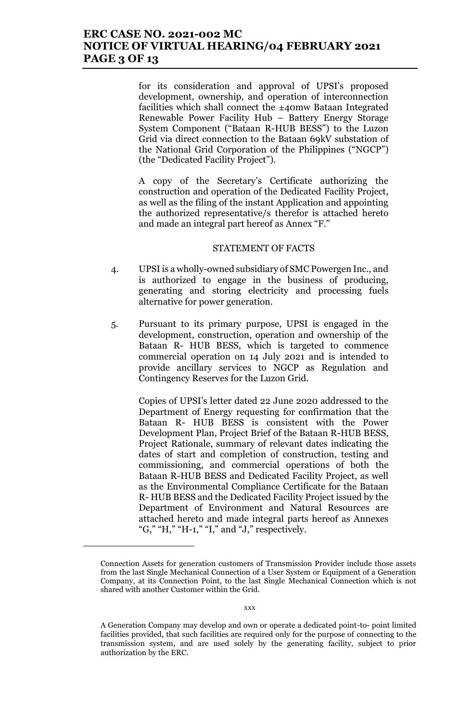## **ERC CASE NO. 2021-002 MC NOTICE OF VIRTUAL HEARING/04 FEBRUARY 2021 PAGE 3 OF 13**

for its consideration and approval of UPSI's proposed development, ownership, and operation of interconnection facilities which shall connect the ±40mw Bataan Integrated Renewable Power Facility Hub – Battery Energy Storage System Component ("Bataan R-HUB BESS") to the Luzon Grid via direct connection to the Bataan 69kV substation of the National Grid Corporation of the Philippines ("NGCP") (the "Dedicated Facility Project").

A copy of the Secretary's Certificate authorizing the construction and operation of the Dedicated Facility Project, as well as the filing of the instant Application and appointing the authorized representative/s therefor is attached hereto and made an integral part hereof as Annex "F."

#### STATEMENT OF FACTS

- 4. UPSI is a wholly-owned subsidiary of SMC Powergen Inc., and is authorized to engage in the business of producing, generating and storing electricity and processing fuels alternative for power generation.
- 5. Pursuant to its primary purpose, UPSI is engaged in the development, construction, operation and ownership of the Bataan R- HUB BESS, which is targeted to commence commercial operation on 14 July 2021 and is intended to provide ancillary services to NGCP as Regulation and Contingency Reserves for the Luzon Grid.

Copies of UPSI's letter dated 22 June 2020 addressed to the Department of Energy requesting for confirmation that the Bataan R- HUB BESS is consistent with the Power Development Plan, Project Brief of the Bataan R-HUB BESS, Project Rationale, summary of relevant dates indicating the dates of start and completion of construction, testing and commissioning, and commercial operations of both the Bataan R-HUB BESS and Dedicated Facility Project, as well as the Environmental Compliance Certificate for the Bataan R- HUB BESS and the Dedicated Facility Project issued by the Department of Environment and Natural Resources are attached hereto and made integral parts hereof as Annexes "G," "H," "H-1," "I," and "J," respectively.

Connection Assets for generation customers of Transmission Provider include those assets from the last Single Mechanical Connection of a User System or Equipment of a Generation Company, at its Connection Point, to the last Single Mechanical Connection which is not shared with another Customer within the Grid.

A Generation Company may develop and own or operate a dedicated point-to- point limited facilities provided, that such facilities are required only for the purpose of connecting to the transmission system, and are used solely by the generating facility, subject to prior authorization by the ERC.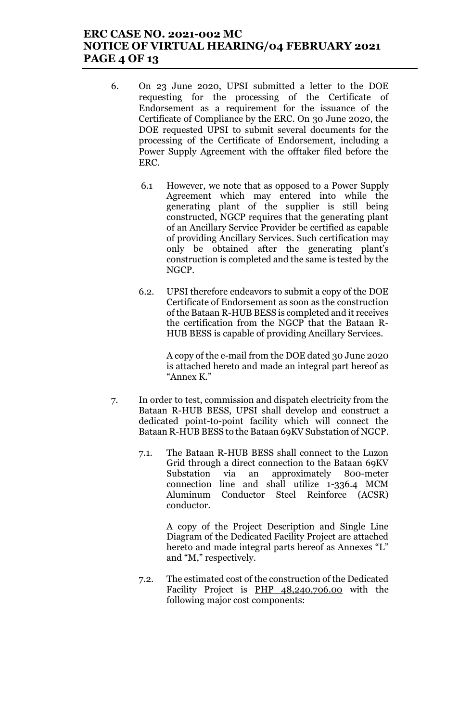# **ERC CASE NO. 2021-002 MC NOTICE OF VIRTUAL HEARING/04 FEBRUARY 2021 PAGE 4 OF 13**

- 6. On 23 June 2020, UPSI submitted a letter to the DOE requesting for the processing of the Certificate of Endorsement as a requirement for the issuance of the Certificate of Compliance by the ERC. On 30 June 2020, the DOE requested UPSI to submit several documents for the processing of the Certificate of Endorsement, including a Power Supply Agreement with the offtaker filed before the ERC.
	- 6.1 However, we note that as opposed to a Power Supply Agreement which may entered into while the generating plant of the supplier is still being constructed, NGCP requires that the generating plant of an Ancillary Service Provider be certified as capable of providing Ancillary Services. Such certification may only be obtained after the generating plant's construction is completed and the same is tested by the NGCP.
	- 6.2. UPSI therefore endeavors to submit a copy of the DOE Certificate of Endorsement as soon as the construction of the Bataan R-HUB BESS is completed and it receives the certification from the NGCP that the Bataan R-HUB BESS is capable of providing Ancillary Services.

A copy of the e-mail from the DOE dated 30 June 2020 is attached hereto and made an integral part hereof as "Annex K."

- 7. In order to test, commission and dispatch electricity from the Bataan R-HUB BESS, UPSI shall develop and construct a dedicated point-to-point facility which will connect the Bataan R-HUB BESS to the Bataan 69KV Substation of NGCP.
	- 7.1. The Bataan R-HUB BESS shall connect to the Luzon Grid through a direct connection to the Bataan 69KV Substation via an approximately 800-meter connection line and shall utilize 1-336.4 MCM Aluminum Conductor Steel Reinforce (ACSR) conductor.

A copy of the Project Description and Single Line Diagram of the Dedicated Facility Project are attached hereto and made integral parts hereof as Annexes "L" and "M," respectively.

7.2. The estimated cost of the construction of the Dedicated Facility Project is PHP 48,240,706.00 with the following major cost components: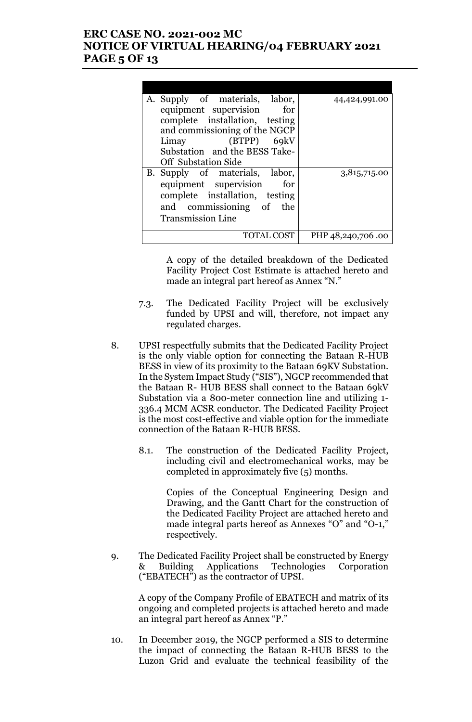# **ERC CASE NO. 2021-002 MC NOTICE OF VIRTUAL HEARING/04 FEBRUARY 2021 PAGE 5 OF 13**

| A. Supply of materials, labor, | 44,424,991.00     |
|--------------------------------|-------------------|
| equipment supervision<br>for   |                   |
| complete installation, testing |                   |
| and commissioning of the NGCP  |                   |
| Limay (BTPP) 69kV              |                   |
| Substation and the BESS Take-  |                   |
| <b>Off</b> Substation Side     |                   |
| B. Supply of materials, labor, | 3,815,715.00      |
| equipment supervision<br>for   |                   |
| complete installation, testing |                   |
| and commissioning of the       |                   |
| <b>Transmission Line</b>       |                   |
|                                |                   |
| TOTAL COST                     | PHP 48,240,706.00 |
|                                |                   |

A copy of the detailed breakdown of the Dedicated Facility Project Cost Estimate is attached hereto and made an integral part hereof as Annex "N."

- 7.3. The Dedicated Facility Project will be exclusively funded by UPSI and will, therefore, not impact any regulated charges.
- 8. UPSI respectfully submits that the Dedicated Facility Project is the only viable option for connecting the Bataan R-HUB BESS in view of its proximity to the Bataan 69KV Substation. In the System Impact Study ("SIS"), NGCP recommended that the Bataan R- HUB BESS shall connect to the Bataan 69kV Substation via a 800-meter connection line and utilizing 1- 336.4 MCM ACSR conductor. The Dedicated Facility Project is the most cost-effective and viable option for the immediate connection of the Bataan R-HUB BESS.
	- 8.1. The construction of the Dedicated Facility Project, including civil and electromechanical works, may be completed in approximately five (5) months.

Copies of the Conceptual Engineering Design and Drawing, and the Gantt Chart for the construction of the Dedicated Facility Project are attached hereto and made integral parts hereof as Annexes "O" and "O-1," respectively.

9. The Dedicated Facility Project shall be constructed by Energy & Building Applications Technologies Corporation ("EBATECH") as the contractor of UPSI.

A copy of the Company Profile of EBATECH and matrix of its ongoing and completed projects is attached hereto and made an integral part hereof as Annex "P."

10. In December 2019, the NGCP performed a SIS to determine the impact of connecting the Bataan R-HUB BESS to the Luzon Grid and evaluate the technical feasibility of the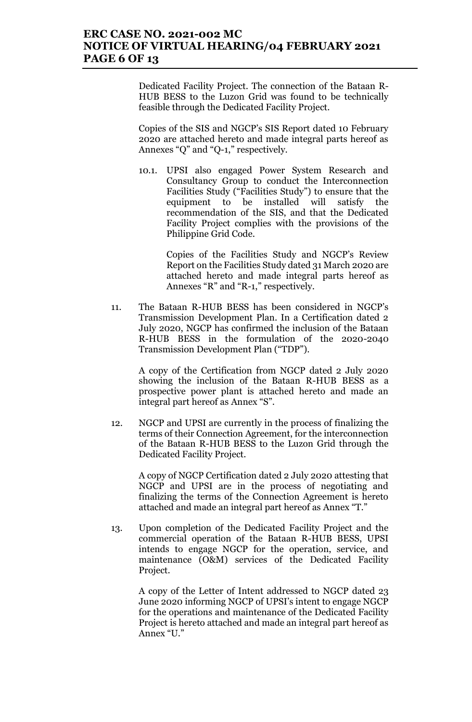## **ERC CASE NO. 2021-002 MC NOTICE OF VIRTUAL HEARING/04 FEBRUARY 2021 PAGE 6 OF 13**

Dedicated Facility Project. The connection of the Bataan R-HUB BESS to the Luzon Grid was found to be technically feasible through the Dedicated Facility Project.

Copies of the SIS and NGCP's SIS Report dated 10 February 2020 are attached hereto and made integral parts hereof as Annexes "Q" and "Q-1," respectively.

10.1. UPSI also engaged Power System Research and Consultancy Group to conduct the Interconnection Facilities Study ("Facilities Study") to ensure that the equipment to be installed will satisfy the recommendation of the SIS, and that the Dedicated Facility Project complies with the provisions of the Philippine Grid Code.

> Copies of the Facilities Study and NGCP's Review Report on the Facilities Study dated 31 March 2020 are attached hereto and made integral parts hereof as Annexes "R" and "R-1," respectively.

11. The Bataan R-HUB BESS has been considered in NGCP's Transmission Development Plan. In a Certification dated 2 July 2020, NGCP has confirmed the inclusion of the Bataan R-HUB BESS in the formulation of the 2020-2040 Transmission Development Plan ("TDP").

A copy of the Certification from NGCP dated 2 July 2020 showing the inclusion of the Bataan R-HUB BESS as a prospective power plant is attached hereto and made an integral part hereof as Annex "S".

12. NGCP and UPSI are currently in the process of finalizing the terms of their Connection Agreement, for the interconnection of the Bataan R-HUB BESS to the Luzon Grid through the Dedicated Facility Project.

A copy of NGCP Certification dated 2 July 2020 attesting that NGCP and UPSI are in the process of negotiating and finalizing the terms of the Connection Agreement is hereto attached and made an integral part hereof as Annex "T."

13. Upon completion of the Dedicated Facility Project and the commercial operation of the Bataan R-HUB BESS, UPSI intends to engage NGCP for the operation, service, and maintenance (O&M) services of the Dedicated Facility Project.

A copy of the Letter of Intent addressed to NGCP dated 23 June 2020 informing NGCP of UPSI's intent to engage NGCP for the operations and maintenance of the Dedicated Facility Project is hereto attached and made an integral part hereof as Annex "U."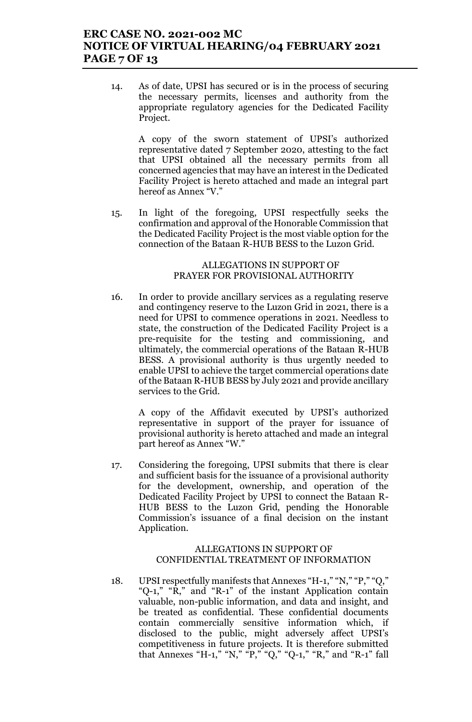## **ERC CASE NO. 2021-002 MC NOTICE OF VIRTUAL HEARING/04 FEBRUARY 2021 PAGE 7 OF 13**

14. As of date, UPSI has secured or is in the process of securing the necessary permits, licenses and authority from the appropriate regulatory agencies for the Dedicated Facility Project.

A copy of the sworn statement of UPSI's authorized representative dated 7 September 2020, attesting to the fact that UPSI obtained all the necessary permits from all concerned agencies that may have an interest in the Dedicated Facility Project is hereto attached and made an integral part hereof as Annex "V."

15. In light of the foregoing, UPSI respectfully seeks the confirmation and approval of the Honorable Commission that the Dedicated Facility Project is the most viable option for the connection of the Bataan R-HUB BESS to the Luzon Grid.

#### ALLEGATIONS IN SUPPORT OF PRAYER FOR PROVISIONAL AUTHORITY

16. In order to provide ancillary services as a regulating reserve and contingency reserve to the Luzon Grid in 2021, there is a need for UPSI to commence operations in 2021. Needless to state, the construction of the Dedicated Facility Project is a pre-requisite for the testing and commissioning, and ultimately, the commercial operations of the Bataan R-HUB BESS. A provisional authority is thus urgently needed to enable UPSI to achieve the target commercial operations date of the Bataan R-HUB BESS by July 2021 and provide ancillary services to the Grid.

A copy of the Affidavit executed by UPSI's authorized representative in support of the prayer for issuance of provisional authority is hereto attached and made an integral part hereof as Annex "W."

17. Considering the foregoing, UPSI submits that there is clear and sufficient basis for the issuance of a provisional authority for the development, ownership, and operation of the Dedicated Facility Project by UPSI to connect the Bataan R-HUB BESS to the Luzon Grid, pending the Honorable Commission's issuance of a final decision on the instant Application.

#### ALLEGATIONS IN SUPPORT OF CONFIDENTIAL TREATMENT OF INFORMATION

18. UPSI respectfully manifests that Annexes "H-1," "N," "P," "Q," "Q-1," "R," and "R-1" of the instant Application contain valuable, non-public information, and data and insight, and be treated as confidential. These confidential documents contain commercially sensitive information which, if disclosed to the public, might adversely affect UPSI's competitiveness in future projects. It is therefore submitted that Annexes "H-1," "N," "P," "Q," "Q-1," "R," and "R-1" fall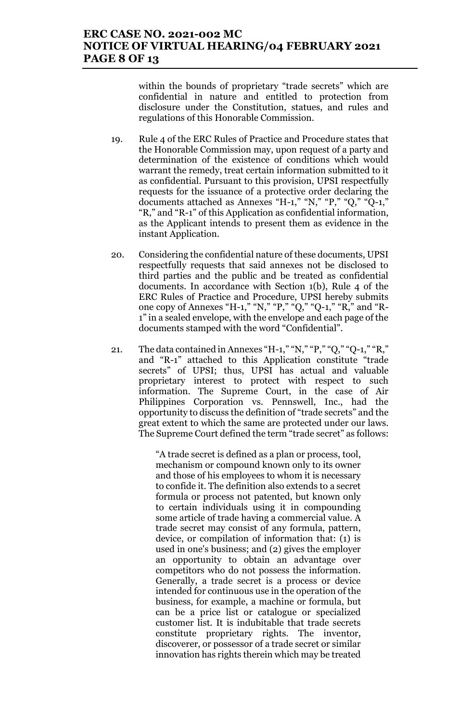# **ERC CASE NO. 2021-002 MC NOTICE OF VIRTUAL HEARING/04 FEBRUARY 2021 PAGE 8 OF 13**

within the bounds of proprietary "trade secrets" which are confidential in nature and entitled to protection from disclosure under the Constitution, statues, and rules and regulations of this Honorable Commission.

- 19. Rule 4 of the ERC Rules of Practice and Procedure states that the Honorable Commission may, upon request of a party and determination of the existence of conditions which would warrant the remedy, treat certain information submitted to it as confidential. Pursuant to this provision, UPSI respectfully requests for the issuance of a protective order declaring the documents attached as Annexes "H-1," "N," "P," "Q," "Q-1," "R," and "R-1" of this Application as confidential information, as the Applicant intends to present them as evidence in the instant Application.
- 20. Considering the confidential nature of these documents, UPSI respectfully requests that said annexes not be disclosed to third parties and the public and be treated as confidential documents. In accordance with Section 1(b), Rule 4 of the ERC Rules of Practice and Procedure, UPSI hereby submits one copy of Annexes "H-1," "N," "P," "Q," "Q-1," "R," and "R-1" in a sealed envelope, with the envelope and each page of the documents stamped with the word "Confidential".
- 21. The data contained in Annexes "H-1," "N," "P," "Q," "Q-1," "R," and "R-1" attached to this Application constitute "trade secrets" of UPSI; thus, UPSI has actual and valuable proprietary interest to protect with respect to such information. The Supreme Court, in the case of Air Philippines Corporation vs. Pennswell, Inc., had the opportunity to discuss the definition of "trade secrets" and the great extent to which the same are protected under our laws. The Supreme Court defined the term "trade secret" as follows:

"A trade secret is defined as a plan or process, tool, mechanism or compound known only to its owner and those of his employees to whom it is necessary to confide it. The definition also extends to a secret formula or process not patented, but known only to certain individuals using it in compounding some article of trade having a commercial value. A trade secret may consist of any formula, pattern, device, or compilation of information that: (1) is used in one's business; and (2) gives the employer an opportunity to obtain an advantage over competitors who do not possess the information. Generally, a trade secret is a process or device intended for continuous use in the operation of the business, for example, a machine or formula, but can be a price list or catalogue or specialized customer list. It is indubitable that trade secrets constitute proprietary rights. The inventor, discoverer, or possessor of a trade secret or similar innovation has rights therein which may be treated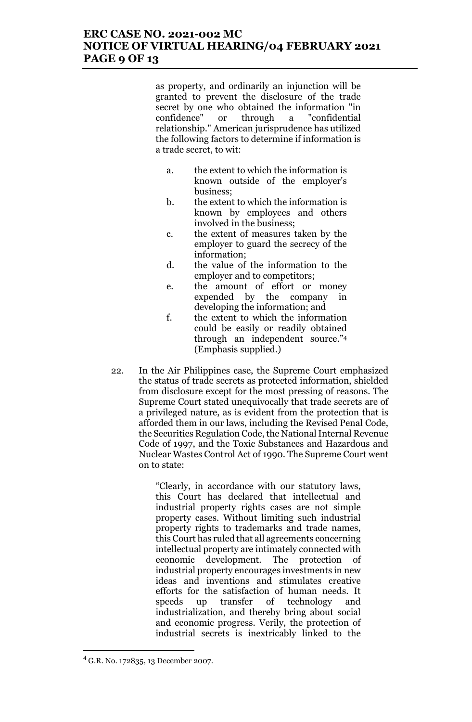## **ERC CASE NO. 2021-002 MC NOTICE OF VIRTUAL HEARING/04 FEBRUARY 2021 PAGE 9 OF 13**

as property, and ordinarily an injunction will be granted to prevent the disclosure of the trade secret by one who obtained the information "in confidence" or through a "confidential relationship." American jurisprudence has utilized the following factors to determine if information is a trade secret, to wit:

- a. the extent to which the information is known outside of the employer's business;
- b. the extent to which the information is known by employees and others involved in the business;
- c. the extent of measures taken by the employer to guard the secrecy of the information;
- d. the value of the information to the employer and to competitors;
- e. the amount of effort or money expended by the company in developing the information; and
- f. the extent to which the information could be easily or readily obtained through an independent source."<sup>4</sup> (Emphasis supplied.)
- 22. In the Air Philippines case, the Supreme Court emphasized the status of trade secrets as protected information, shielded from disclosure except for the most pressing of reasons. The Supreme Court stated unequivocally that trade secrets are of a privileged nature, as is evident from the protection that is afforded them in our laws, including the Revised Penal Code, the Securities Regulation Code, the National Internal Revenue Code of 1997, and the Toxic Substances and Hazardous and Nuclear Wastes Control Act of 1990. The Supreme Court went on to state:

"Clearly, in accordance with our statutory laws, this Court has declared that intellectual and industrial property rights cases are not simple property cases. Without limiting such industrial property rights to trademarks and trade names, this Court has ruled that all agreements concerning intellectual property are intimately connected with economic development. The protection of industrial property encourages investments in new ideas and inventions and stimulates creative efforts for the satisfaction of human needs. It speeds up transfer of technology and industrialization, and thereby bring about social and economic progress. Verily, the protection of industrial secrets is inextricably linked to the

 $^{4}$  G.R. No. 172835, 13 December 2007.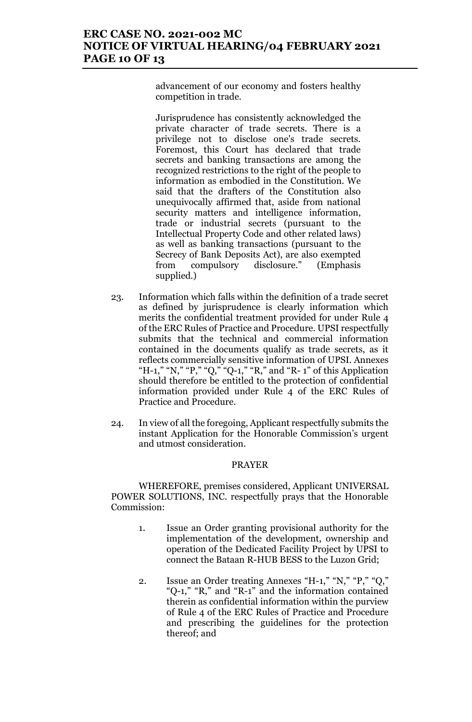# **ERC CASE NO. 2021-002 MC NOTICE OF VIRTUAL HEARING/04 FEBRUARY 2021 PAGE 10 OF 13**

advancement of our economy and fosters healthy competition in trade.

Jurisprudence has consistently acknowledged the private character of trade secrets. There is a privilege not to disclose one's trade secrets. Foremost, this Court has declared that trade secrets and banking transactions are among the recognized restrictions to the right of the people to information as embodied in the Constitution. We said that the drafters of the Constitution also unequivocally affirmed that, aside from national security matters and intelligence information, trade or industrial secrets (pursuant to the Intellectual Property Code and other related laws) as well as banking transactions (pursuant to the Secrecy of Bank Deposits Act), are also exempted from compulsory disclosure." (Emphasis supplied.)

- 23. Information which falls within the definition of a trade secret as defined by jurisprudence is clearly information which merits the confidential treatment provided for under Rule 4 of the ERC Rules of Practice and Procedure. UPSI respectfully submits that the technical and commercial information contained in the documents qualify as trade secrets, as it reflects commercially sensitive information of UPSI. Annexes "H-1," "N," "P," "Q," "Q-1," "R," and "R-1" of this Application should therefore be entitled to the protection of confidential information provided under Rule 4 of the ERC Rules of Practice and Procedure.
- 24. In view of all the foregoing, Applicant respectfully submits the instant Application for the Honorable Commission's urgent and utmost consideration.

#### PRAYER

WHEREFORE, premises considered, Applicant UNIVERSAL POWER SOLUTIONS, INC. respectfully prays that the Honorable Commission:

- 1. Issue an Order granting provisional authority for the implementation of the development, ownership and operation of the Dedicated Facility Project by UPSI to connect the Bataan R-HUB BESS to the Luzon Grid;
- 2. Issue an Order treating Annexes "H-1," "N," "P," "Q," "Q-1," "R," and "R-1" and the information contained therein as confidential information within the purview of Rule 4 of the ERC Rules of Practice and Procedure and prescribing the guidelines for the protection thereof; and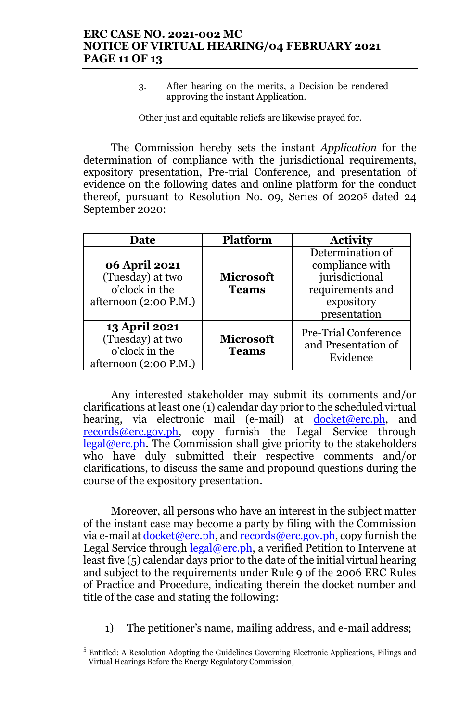3. After hearing on the merits, a Decision be rendered approving the instant Application.

Other just and equitable reliefs are likewise prayed for.

The Commission hereby sets the instant *Application* for the determination of compliance with the jurisdictional requirements, expository presentation, Pre-trial Conference, and presentation of evidence on the following dates and online platform for the conduct thereof, pursuant to Resolution No. 09, Series 0f 2020<sup>5</sup> dated 24 September 2020:

| Date                                                                                | <b>Platform</b>                  | <b>Activity</b>                                                                                         |
|-------------------------------------------------------------------------------------|----------------------------------|---------------------------------------------------------------------------------------------------------|
| 06 April 2021<br>(Tuesday) at two<br>o'clock in the<br>afternoon $(2:00 P.M.)$      | <b>Microsoft</b><br><b>Teams</b> | Determination of<br>compliance with<br>jurisdictional<br>requirements and<br>expository<br>presentation |
| <b>13 April 2021</b><br>(Tuesday) at two<br>o'clock in the<br>afternoon (2:00 P.M.) | <b>Microsoft</b><br><b>Teams</b> | <b>Pre-Trial Conference</b><br>and Presentation of<br>Evidence                                          |

Any interested stakeholder may submit its comments and/or clarifications at least one (1) calendar day prior to the scheduled virtual hearing, via electronic mail (e-mail) at docket@erc.ph, and records@erc.gov.ph, copy furnish the Legal Service through legal@erc.ph. The Commission shall give priority to the stakeholders who have duly submitted their respective comments and/or clarifications, to discuss the same and propound questions during the course of the expository presentation.

Moreover, all persons who have an interest in the subject matter of the instant case may become a party by filing with the Commission via e-mail at  $d$ ocket@erc.ph, and records@erc.gov.ph, copy furnish the Legal Service through  $\text{legal@erc.ph}$ , a verified Petition to Intervene at least five (5) calendar days prior to the date of the initial virtual hearing and subject to the requirements under Rule 9 of the 2006 ERC Rules of Practice and Procedure, indicating therein the docket number and title of the case and stating the following:

1) The petitioner's name, mailing address, and e-mail address;

<sup>&</sup>lt;sup>5</sup> Entitled: A Resolution Adopting the Guidelines Governing Electronic Applications, Filings and Virtual Hearings Before the Energy Regulatory Commission;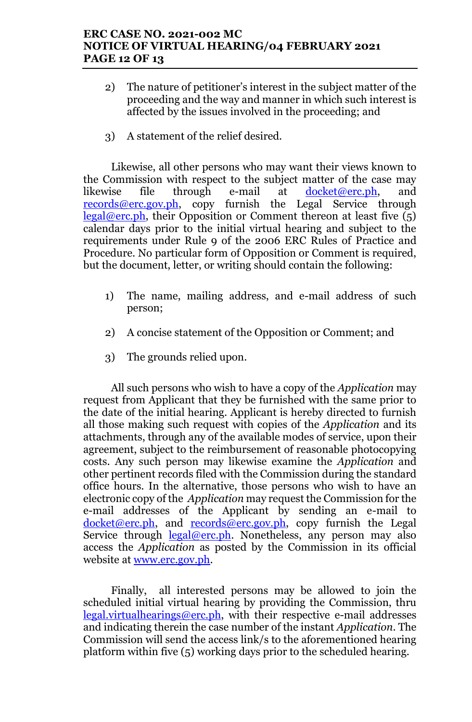# **ERC CASE NO. 2021-002 MC NOTICE OF VIRTUAL HEARING/04 FEBRUARY 2021 PAGE 12 OF 13**

- 2) The nature of petitioner's interest in the subject matter of the proceeding and the way and manner in which such interest is affected by the issues involved in the proceeding; and
- 3) A statement of the relief desired.

Likewise, all other persons who may want their views known to the Commission with respect to the subject matter of the case may likewise file through e-mail at docket@erc.ph, and records@erc.gov.ph, copy furnish the Legal Service through  $\text{legal@erc.ph},$  their Opposition or Comment thereon at least five (5) calendar days prior to the initial virtual hearing and subject to the requirements under Rule 9 of the 2006 ERC Rules of Practice and Procedure. No particular form of Opposition or Comment is required, but the document, letter, or writing should contain the following:

- 1) The name, mailing address, and e-mail address of such person;
- 2) A concise statement of the Opposition or Comment; and
- 3) The grounds relied upon.

All such persons who wish to have a copy of the *Application* may request from Applicant that they be furnished with the same prior to the date of the initial hearing. Applicant is hereby directed to furnish all those making such request with copies of the *Application* and its attachments, through any of the available modes of service, upon their agreement, subject to the reimbursement of reasonable photocopying costs. Any such person may likewise examine the *Application* and other pertinent records filed with the Commission during the standard office hours. In the alternative, those persons who wish to have an electronic copy of the *Application* may request the Commission for the e-mail addresses of the Applicant by sending an e-mail to  $docket@erc.php$ , and records@erc.gov.ph, copy furnish the Legal Service through  $\text{legal@erc.ph.}$  Nonetheless, any person may also access the *Application* as posted by the Commission in its official website at www.erc.gov.ph.

Finally, all interested persons may be allowed to join the scheduled initial virtual hearing by providing the Commission, thru legal.virtualhearings@erc.ph, with their respective e-mail addresses and indicating therein the case number of the instant *Application*. The Commission will send the access link/s to the aforementioned hearing platform within five (5) working days prior to the scheduled hearing.